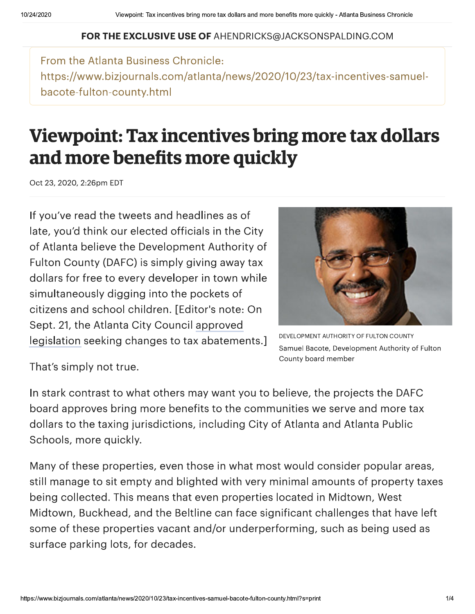## FOR THE EXCLUSIVE USE OF AHENDRICKS@JACKSONSPALDING.COM

From the Atlanta Business Chronicle: https://www.bizjournals.com/atlanta/news/2020/10/23/tax-incentives-samuelbacote-fulton-county.html

## Viewpoint: Tax incentives bring more tax dollars and more benefits more quickly

Oct 23, 2020, 2:26pm EDT

If you've read the tweets and headlines as of late, you'd think our elected officials in the City of Atlanta believe the Development Authority of Fulton County (DAFC) is simply giving away tax dollars for free to every developer in town while simultaneously digging into the pockets of citizens and school children. [Editor's note: On Sept. 21, the Atlanta City Council approved legislation seeking changes to tax abatements.]



DEVELOPMENT AUTHORITY OF FULTON COUNTY Samuel Bacote, Development Authority of Fulton County board member

That's simply not true.

In stark contrast to what others may want you to believe, the projects the DAFC board approves bring more benefits to the communities we serve and more tax dollars to the taxing jurisdictions, including City of Atlanta and Atlanta Public Schools, more quickly.

Many of these properties, even those in what most would consider popular areas, still manage to sit empty and blighted with very minimal amounts of property taxes being collected. This means that even properties located in Midtown, West Midtown, Buckhead, and the Beltline can face significant challenges that have left some of these properties vacant and/or underperforming, such as being used as surface parking lots, for decades.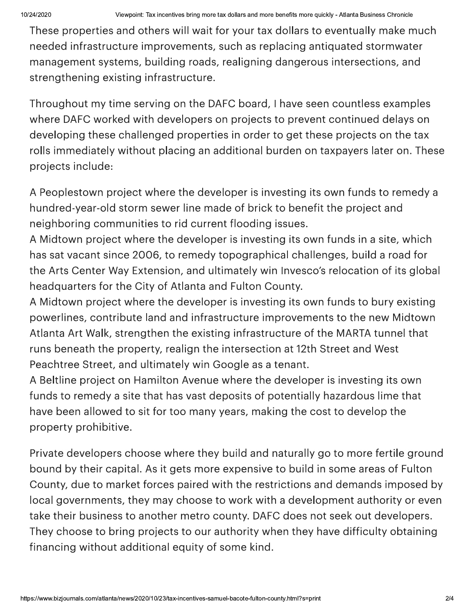These properties and others will wait for your tax dollars to eventually make much needed infrastructure improvements, such as replacing antiquated stormwater management systems, building roads, realigning dangerous intersections, and strengthening existing infrastructure.

Throughout my time serving on the DAFC board, I have seen countless examples where DAFC worked with developers on projects to prevent continued delays on developing these challenged properties in order to get these projects on the tax rolls immediately without placing an additional burden on taxpayers later on. These projects include:

A Peoplestown project where the developer is investing its own funds to remedy a hundred-year-old storm sewer line made of brick to benefit the proiect and neighboring communities to rid current flooding issues.

A Midtown project where the developer is investing its own funds in a site, which has sat vacant since 2006, to remedy topographical challenges, build a road for the Arts Center Way Extension, and ultimately win Invesco's relocation of its global headquarters for the City of Atlanta and Fulton County.

A Midtown project where the developer is investing its own funds to bury existing powerlines, contribute land and infrastructure improvements to the new Midtown Atlanta Art Walk, strengthen the existing infrastructure of the MARTA tunnel that runs beneath the property, realign the intersection at 12th Street and West Peachtree Street, and ultimately win Google as a tenant.

A Beltline project on Hamilton Avenue where the developer is investing its own funds to remedy a site that has vast deposits of potentially hazardous lime that have been allowed to sit for too many years, making the cost to develop the property prohibitive.

Private developers choose where they build and naturally go to more fertile ground bound by their capital. As it gets more expensive to build in some areas of Fulton County, due to market forces paired with the restrictions and demands imposed by local governments, they may choose to work with a development authority or even take their business to another metro county. DAFC does not seek out developers. They choose to bring projects to our authority when they have difficulty obtaining financing without additional equity of some kind.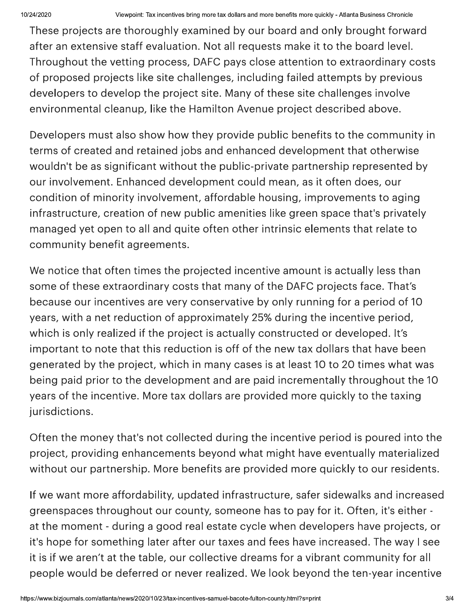These projects are thoroughly examined by our board and only brought forward after an extensive staff evaluation. Not all requests make it to the board level. Throughout the vetting process, DAFC pays close attention to extraordinary costs of proposed projects like site challenges, including failed attempts by previous developers to develop the project site. Many of these site challenges involve environmental cleanup, like the Hamilton Avenue project described above.

Developers must also show how they provide public benefits to the community in terms of created and retained jobs and enhanced development that otherwise wouldn't be as significant without the public-private partnership represented by our involvement. Enhanced development could mean, as it often does, our condition of minority involvement, affordable housing, improvements to aging infrastructure, creation of new public amenities like green space that's privately managed yet open to all and quite often other intrinsic elements that relate to community benefit agreements.

We notice that often times the projected incentive amount is actually less than some of these extraordinary costs that many of the DAFC projects face. That's because our incentives are very conservative by only running for a period of 10 years, with a net reduction of approximately 25% during the incentive period, which is only realized if the project is actually constructed or developed. It's important to note that this reduction is off of the new tax dollars that have been generated by the project, which in many cases is at least 10 to 20 times what was being paid prior to the development and are paid incrementally throughout the 10 years of the incentive. More tax dollars are provided more quickly to the taxing jurisdictions.

Often the money that's not collected during the incentive period is poured into the project, providing enhancements beyond what might have eventually materialized without our partnership. More benefits are provided more quickly to our residents.

it's hope for something<br>it is if we aren't at the ta<br>people would be deferr<br>https://www.bizjournals.com/atlanta/news/202 If we want more affordability, updated infrastructure, safer sidewalks and increased greenspaces throughout our county, someone has to pay for it. Often, it's either at the moment - during a good real estate cycle when developers have projects, or it's hope for something later after our taxes and fees have increased. The way I see it is if we aren't at the table, our collective dreams for a vibrant community for all people would be deferred or never realized. We look beyond the ten-year incentive